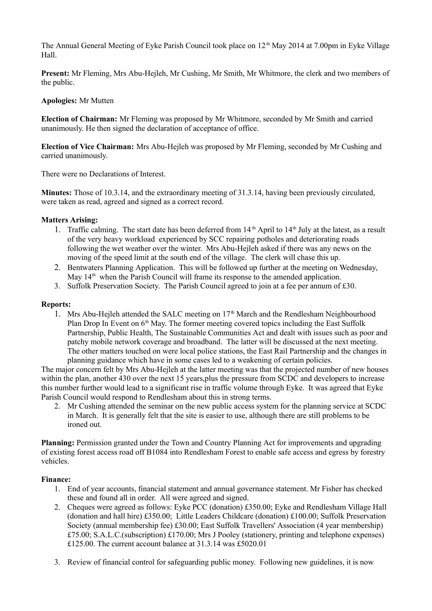The Annual General Meeting of Eyke Parish Council took place on 12<sup>th</sup> May 2014 at 7.00pm in Eyke Village Hall.

**Present:** Mr Fleming, Mrs Abu-Hejleh, Mr Cushing, Mr Smith, Mr Whitmore, the clerk and two members of the public.

## **Apologies:** Mr Mutten

**Election of Chairman:** Mr Fleming was proposed by Mr Whitmore, seconded by Mr Smith and carried unanimously. He then signed the declaration of acceptance of office.

**Election of Vice Chairman:** Mrs Abu-Hejleh was proposed by Mr Fleming, seconded by Mr Cushing and carried unanimously.

There were no Declarations of Interest.

**Minutes:** Those of 10.3.14, and the extraordinary meeting of 31.3.14, having been previously circulated, were taken as read, agreed and signed as a correct record.

## **Matters Arising:**

- 1. Traffic calming. The start date has been deferred from  $14<sup>th</sup>$  April to  $14<sup>th</sup>$  July at the latest, as a result of the very heavy workload experienced by SCC repairing potholes and deteriorating roads following the wet weather over the winter. Mrs Abu-Hejleh asked if there was any news on the moving of the speed limit at the south end of the village. The clerk will chase this up.
- 2. Bentwaters Planning Application. This will be followed up further at the meeting on Wednesday, May  $14<sup>th</sup>$  when the Parish Council will frame its response to the amended application.
- 3. Suffolk Preservation Society. The Parish Council agreed to join at a fee per annum of £30.

## **Reports:**

1. Mrs Abu-Heileh attended the SALC meeting on  $17<sup>th</sup>$  March and the Rendlesham Neighbourhood Plan Drop In Event on  $6<sup>th</sup>$  May. The former meeting covered topics including the East Suffolk Partnership, Public Health, The Sustainable Communities Act and dealt with issues such as poor and patchy mobile network coverage and broadband. The latter will be discussed at the next meeting. The other matters touched on were local police stations, the East Rail Partnership and the changes in planning guidance which have in some cases led to a weakening of certain policies.

The major concern felt by Mrs Abu-Hejleh at the latter meeting was that the projected number of new houses within the plan, another 430 over the next 15 years, plus the pressure from SCDC and developers to increase this number further would lead to a significant rise in traffic volume through Eyke. It was agreed that Eyke Parish Council would respond to Rendlesham about this in strong terms.

2. Mr Cushing attended the seminar on the new public access system for the planning service at SCDC in March. It is generally felt that the site is easier to use, although there are still problems to be ironed out.

**Planning:** Permission granted under the Town and Country Planning Act for improvements and upgrading of existing forest access road off B1084 into Rendlesham Forest to enable safe access and egress by forestry vehicles.

## **Finance:**

- 1. End of year accounts, financial statement and annual governance statement. Mr Fisher has checked these and found all in order. All were agreed and signed.
- 2. Cheques were agreed as follows: Eyke PCC (donation) £350.00; Eyke and Rendlesham Village Hall (donation and hall hire) £350.00; Little Leaders Childcare (donation) £100.00; Suffolk Preservation Society (annual membership fee) £30.00; East Suffolk Travellers' Association (4 year membership) £75.00; S.A.L.C.(subscription) £170.00; Mrs J Pooley (stationery, printing and telephone expenses) £125.00. The current account balance at 31.3.14 was £5020.01
- 3. Review of financial control for safeguarding public money. Following new guidelines, it is now